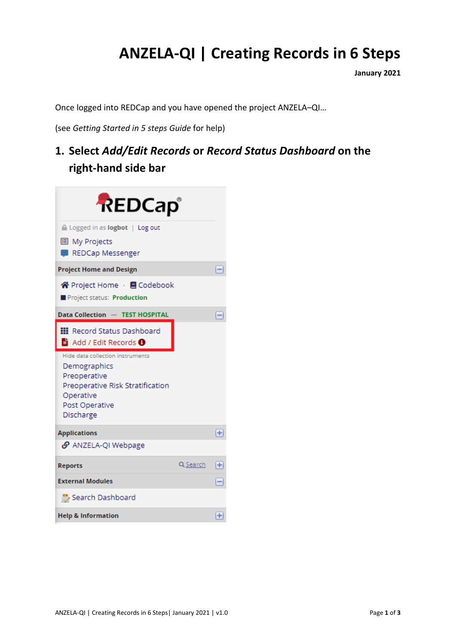## **ANZELA-QI | Creating Records in 6 Steps**

**January 2021**

Once logged into REDCap and you have opened the project ANZELA–QI…

(see *Getting Started in 5 steps Guide* for help)

**1. Select** *Add/Edit Records* **or** *Record Status Dashboard* **on the right-hand side bar**

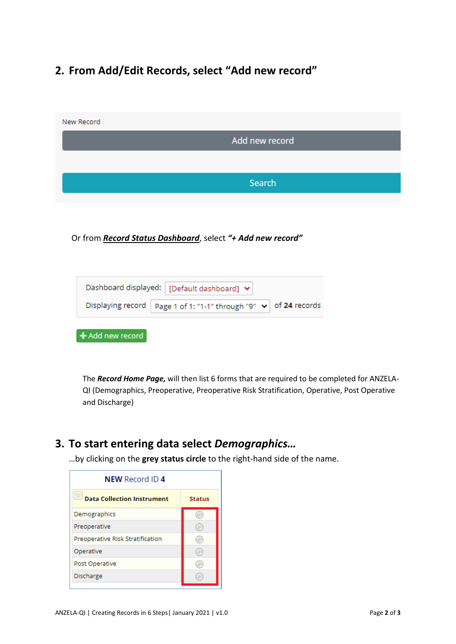## **2. From Add/Edit Records, select "Add new record"**

| New Record |                |  |
|------------|----------------|--|
|            | Add new record |  |
|            |                |  |
|            | Search         |  |
|            |                |  |

Or from *Record Status Dashboard*, select *"+ Add new record"*

|                                     | Dashboard displayed: [Default dashboard] $\blacktriangleright$            |
|-------------------------------------|---------------------------------------------------------------------------|
|                                     | Displaying record   Page 1 of 1: "1-1" through "9" $\vee$   of 24 records |
| $\blacktriangleleft$ Add new record |                                                                           |

The *Record Home Page,* will then list 6 forms that are required to be completed for ANZELA-QI (Demographics, Preoperative, Preoperative Risk Stratification, Operative, Post Operative and Discharge)

## **3. To start entering data select** *Demographics…*

…by clicking on the **grey status circle** to the right-hand side of the name.

| <b>NEW Record ID 4</b>            |               |  |
|-----------------------------------|---------------|--|
| <b>Data Collection Instrument</b> | <b>Status</b> |  |
| Demographics                      |               |  |
| Preoperative                      |               |  |
| Preoperative Risk Stratification  |               |  |
| Operative                         |               |  |
| Post Operative                    |               |  |
| Discharge                         |               |  |